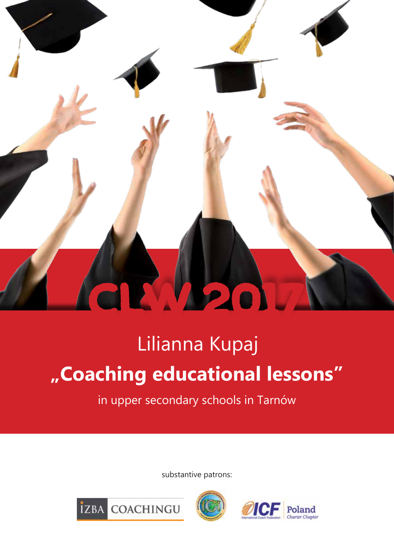

# Lilianna Kupaj **"Coaching educational lessons"**

in upper secondary schools in Tarnów

substantive patrons:





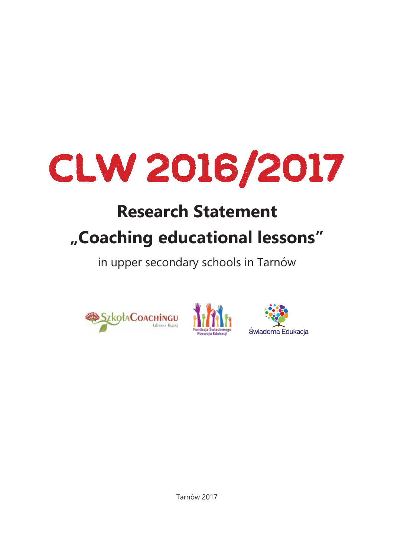# CLW 2016/2017

# **Research Statement "Coaching educational lessons"**

in upper secondary schools in Tarnów







Tarnów 2017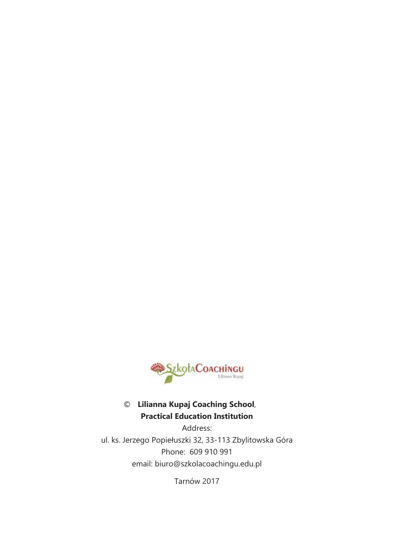

#### **Lilianna Kupaj Coaching School**, **Practical Education Institution**

Address: ul. ks. Jerzego Popiełuszki 32, 33-113 Zbylitowska Góra Phone: 609 910 991 email: biuro@szkolacoachingu.edu.pl

Tarnów 2017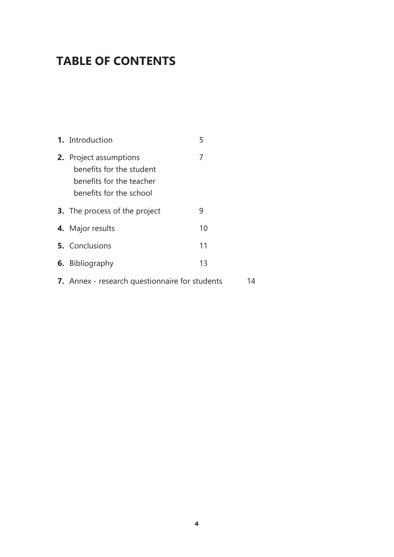# **TABLE OF CONTENTS**

| 1. Introduction                                                                                           | 5  |  |  |
|-----------------------------------------------------------------------------------------------------------|----|--|--|
| 2. Project assumptions<br>benefits for the student<br>benefits for the teacher<br>benefits for the school | 7  |  |  |
| <b>3.</b> The process of the project                                                                      | 9  |  |  |
| 4. Major results                                                                                          | 10 |  |  |
| <b>5.</b> Conclusions                                                                                     | 11 |  |  |
| <b>6.</b> Bibliography                                                                                    | 13 |  |  |
| 7. Annex - research questionnaire for students                                                            |    |  |  |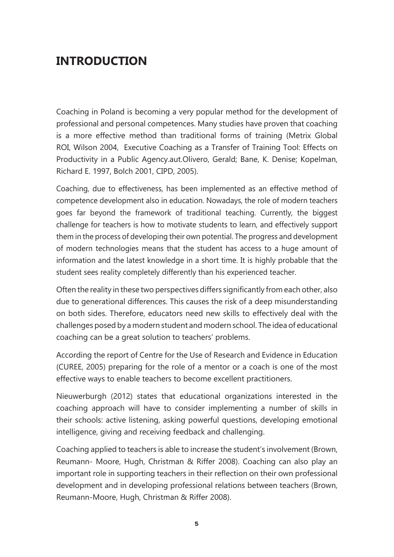# **INTRODUCTION**

Coaching in Poland is becoming a very popular method for the development of professional and personal competences. Many studies have proven that coaching is a more effective method than traditional forms of training (Metrix Global ROI, Wilson 2004, Executive Coaching as a Transfer of Training Tool: Effects on Productivity in a Public Agency.aut.Olivero, Gerald; Bane, K. Denise; Kopelman, Richard E. 1997, Bolch 2001, CIPD, 2005).

Coaching, due to effectiveness, has been implemented as an effective method of competence development also in education. Nowadays, the role of modern teachers goes far beyond the framework of traditional teaching. Currently, the biggest challenge for teachers is how to motivate students to learn, and effectively support them in the process of developing their own potential. The progress and development of modern technologies means that the student has access to a huge amount of information and the latest knowledge in a short time. It is highly probable that the student sees reality completely differently than his experienced teacher.

Often the reality in these two perspectives differs significantly from each other, also due to generational differences. This causes the risk of a deep misunderstanding on both sides. Therefore, educators need new skills to effectively deal with the challenges posed by a modern student and modern school. The idea of educational coaching can be a great solution to teachers' problems.

According the report of Centre for the Use of Research and Evidence in Education (CUREE, 2005) preparing for the role of a mentor or a coach is one of the most effective ways to enable teachers to become excellent practitioners.

Nieuwerburgh (2012) states that educational organizations interested in the coaching approach will have to consider implementing a number of skills in their schools: active listening, asking powerful questions, developing emotional intelligence, giving and receiving feedback and challenging.

Coaching applied to teachers is able to increase the student's involvement (Brown, Reumann- Moore, Hugh, Christman & Riffer 2008). Coaching can also play an important role in supporting teachers in their reflection on their own professional development and in developing professional relations between teachers (Brown, Reumann-Moore, Hugh, Christman & Riffer 2008).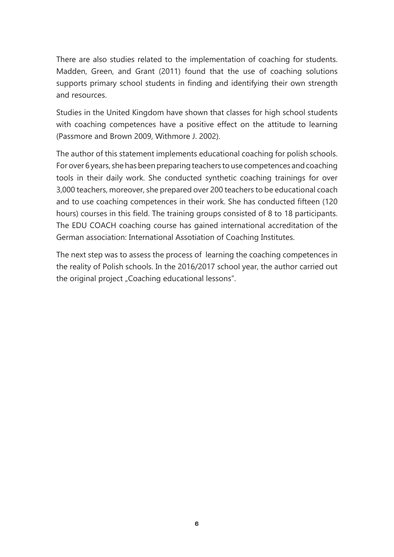There are also studies related to the implementation of coaching for students. Madden, Green, and Grant (2011) found that the use of coaching solutions supports primary school students in finding and identifying their own strength and resources.

Studies in the United Kingdom have shown that classes for high school students with coaching competences have a positive effect on the attitude to learning (Passmore and Brown 2009, Withmore J. 2002).

The author of this statement implements educational coaching for polish schools. For over 6 years, she has been preparing teachers to use competences and coaching tools in their daily work. She conducted synthetic coaching trainings for over 3,000 teachers, moreover, she prepared over 200 teachers to be educational coach and to use coaching competences in their work. She has conducted fifteen (120 hours) courses in this field. The training groups consisted of 8 to 18 participants. The EDU COACH coaching course has gained international accreditation of the German association: International Assotiation of Coaching Institutes.

The next step was to assess the process of learning the coaching competences in the reality of Polish schools. In the 2016/2017 school year, the author carried out the original project "Coaching educational lessons".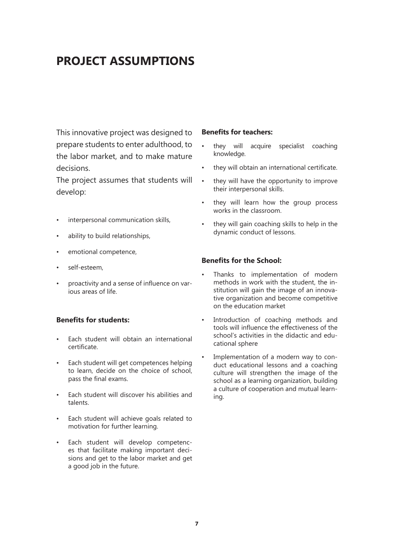# **PROJECT ASSUMPTIONS**

This innovative project was designed to prepare students to enter adulthood, to the labor market, and to make mature decisions.

The project assumes that students will develop:

- interpersonal communication skills,
- ability to build relationships,
- emotional competence,
- self-esteem.
- proactivity and a sense of influence on various areas of life.

#### **Benefits for students:**

- Each student will obtain an international certificate.
- Each student will get competences helping to learn, decide on the choice of school, pass the final exams.
- Each student will discover his abilities and talents.
- Each student will achieve goals related to motivation for further learning.
- Each student will develop competences that facilitate making important decisions and get to the labor market and get a good job in the future.

#### **Benefits for teachers:**

- they will acquire specialist coaching knowledge.
- they will obtain an international certificate.
- they will have the opportunity to improve their interpersonal skills.
- they will learn how the group process works in the classroom.
- they will gain coaching skills to help in the dynamic conduct of lessons.

#### **Benefits for the School:**

- Thanks to implementation of modern methods in work with the student, the institution will gain the image of an innovative organization and become competitive on the education market
- Introduction of coaching methods and tools will influence the effectiveness of the school's activities in the didactic and educational sphere
- Implementation of a modern way to conduct educational lessons and a coaching culture will strengthen the image of the school as a learning organization, building a culture of cooperation and mutual learning.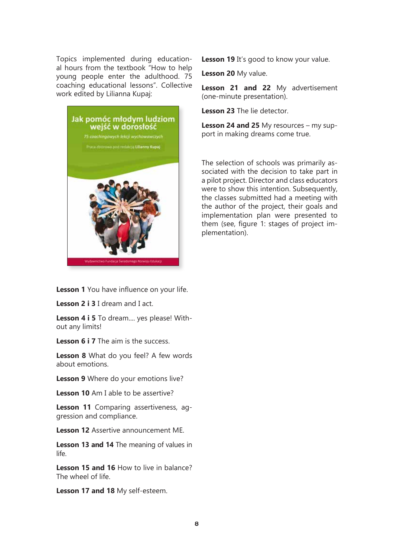Topics implemented during educational hours from the textbook "How to help young people enter the adulthood. 75 coaching educational lessons". Collective work edited by Lilianna Kupaj:



Lesson 19 It's good to know your value.

**Lesson 20** My value.

**Lesson 21 and 22** My advertisement (one-minute presentation).

**Lesson 23** The lie detector.

**Lesson 24 and 25** My resources – my support in making dreams come true.

The selection of schools was primarily associated with the decision to take part in a pilot project. Director and class educators were to show this intention. Subsequently, the classes submitted had a meeting with the author of the project, their goals and implementation plan were presented to them (see, figure 1: stages of project implementation).

**Lesson 1** You have influence on your life.

**Lesson 2 i 3** I dream and I act.

**Lesson 4 i 5** To dream.... yes please! Without any limits!

**Lesson 6 i 7** The aim is the success.

**Lesson 8** What do you feel? A few words about emotions.

**Lesson 9** Where do your emotions live?

**Lesson 10** Am I able to be assertive?

**Lesson 11** Comparing assertiveness, aggression and compliance.

**Lesson 12** Assertive announcement ME.

**Lesson 13 and 14** The meaning of values in life.

**Lesson 15 and 16** How to live in balance? The wheel of life.

**Lesson 17 and 18** My self-esteem.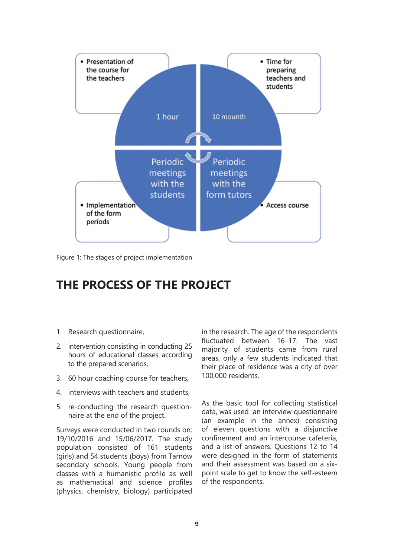

Figure 1: The stages of project implementation

## **THE PROCESS OF THE PROJECT**

- 1. Research questionnaire,
- 2. intervention consisting in conducting 25 hours of educational classes according to the prepared scenarios,
- 3. 60 hour coaching course for teachers,
- 4. interviews with teachers and students,
- 5. re-conducting the research questionnaire at the end of the project.

Surveys were conducted in two rounds on: 19/10/2016 and 15/06/2017. The study population consisted of 161 students (girls) and 54 students (boys) from Tarnów secondary schools. Young people from classes with a humanistic profile as well as mathematical and science profiles (physics, chemistry, biology) participated

in the research. The age of the respondents fluctuated between 16–17. The vast majority of students came from rural areas, only a few students indicated that their place of residence was a city of over 100,000 residents.

As the basic tool for collecting statistical data, was used an interview questionnaire (an example in the annex) consisting of eleven questions with a disjunctive confinement and an intercourse cafeteria, and a list of answers. Questions 12 to 14 were designed in the form of statements and their assessment was based on a sixpoint scale to get to know the self-esteem of the respondents.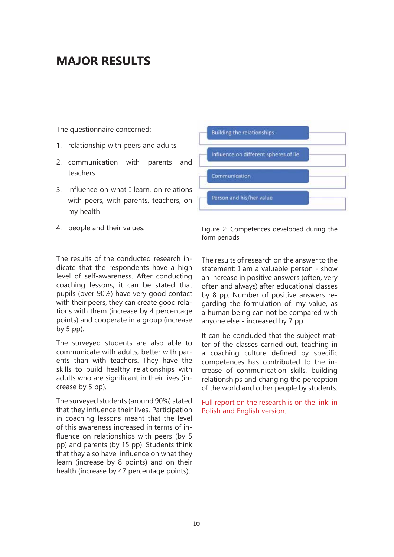# **MAJOR RESULTS**

The questionnaire concerned:

- 1. relationship with peers and adults
- 2. communication with parents and teachers
- 3. influence on what I learn, on relations with peers, with parents, teachers, on my health
- 4. people and their values.

The results of the conducted research indicate that the respondents have a high level of self-awareness. After conducting coaching lessons, it can be stated that pupils (over 90%) have very good contact with their peers, they can create good relations with them (increase by 4 percentage points) and cooperate in a group (increase by 5 pp).

The surveyed students are also able to communicate with adults, better with parents than with teachers. They have the skills to build healthy relationships with adults who are significant in their lives (increase by 5 pp).

The surveyed students (around 90%) stated that they influence their lives. Participation in coaching lessons meant that the level of this awareness increased in terms of influence on relationships with peers (by 5 pp) and parents (by 15 pp). Students think that they also have influence on what they learn (increase by 8 points) and on their health (increase by 47 percentage points).



Figure 2: Competences developed during the form periods

The results of research on the answer to the statement: I am a valuable person - show an increase in positive answers (often, very often and always) after educational classes by 8 pp. Number of positive answers regarding the formulation of: my value, as a human being can not be compared with anyone else - increased by 7 pp

It can be concluded that the subject matter of the classes carried out, teaching in a coaching culture defined by specific competences has contributed to the increase of communication skills, building relationships and changing the perception of the world and other people by students.

Full report on the research is on the link: in Polish and English version.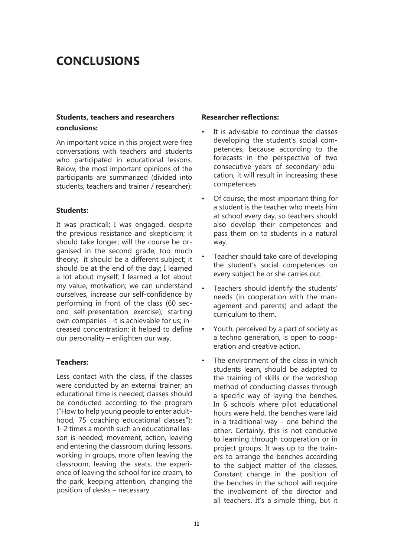# **CONCLUSIONS**

#### **Students, teachers and researchers conclusions:**

An important voice in this project were free conversations with teachers and students who participated in educational lessons. Below, the most important opinions of the participants are summarized (divided into students, teachers and trainer / researcher):

#### **Students:**

It was practicall; I was engaged, despite the previous resistance and skepticism; it should take longer; will the course be organised in the second grade; too much theory; it should be a different subject; it should be at the end of the day; I learned a lot about myself; I learned a lot about my value, motivation; we can understand ourselves, increase our self-confidence by performing in front of the class (60 second self-presentation exercise); starting own companies - it is achievable for us; increased concentration; it helped to define our personality – enlighten our way.

#### **Teachers:**

Less contact with the class, if the classes were conducted by an external trainer; an educational time is needed; classes should be conducted according to the program ("How to help young people to enter adulthood, 75 coaching educational classes"); 1–2 times a month such an educational lesson is needed; movement, action, leaving and entering the classroom during lessons, working in groups, more often leaving the classroom, leaving the seats, the experience of leaving the school for ice cream, to the park, keeping attention, changing the position of desks – necessary.

#### **Researcher reflections:**

- It is advisable to continue the classes developing the student's social competences, because according to the forecasts in the perspective of two consecutive years of secondary education, it will result in increasing these competences.
- Of course, the most important thing for a student is the teacher who meets him at school every day, so teachers should also develop their competences and pass them on to students in a natural way.
- Teacher should take care of developing the student's social competences on every subject he or she carries out.
- Teachers should identify the students' needs (in cooperation with the management and parents) and adapt the curriculum to them.
- Youth, perceived by a part of society as a techno generation, is open to cooperation and creative action.
- The environment of the class in which students learn, should be adapted to the training of skills or the workshop method of conducting classes through a specific way of laying the benches. In 6 schools where pilot educational hours were held, the benches were laid in a traditional way - one behind the other. Certainly, this is not conducive to learning through cooperation or in project groups. It was up to the trainers to arrange the benches according to the subject matter of the classes. Constant change in the position of the benches in the school will require the involvement of the director and all teachers. It's a simple thing, but it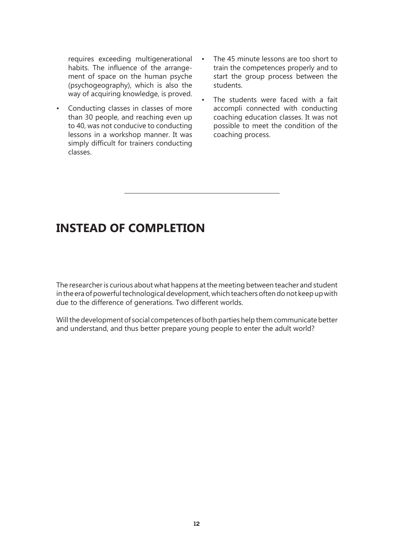requires exceeding multigenerational habits. The influence of the arrangement of space on the human psyche (psychogeography), which is also the way of acquiring knowledge, is proved.

- Conducting classes in classes of more than 30 people, and reaching even up to 40, was not conducive to conducting lessons in a workshop manner. It was simply difficult for trainers conducting classes.
- The 45 minute lessons are too short to train the competences properly and to start the group process between the students.
- The students were faced with a fait accompli connected with conducting coaching education classes. It was not possible to meet the condition of the coaching process.

# **INSTEAD OF COMPLETION**

The researcher is curious about what happens at the meeting between teacher and student in the era of powerful technological development, which teachers often do not keep up with due to the difference of generations. Two different worlds.

Will the development of social competences of both parties help them communicate better and understand, and thus better prepare young people to enter the adult world?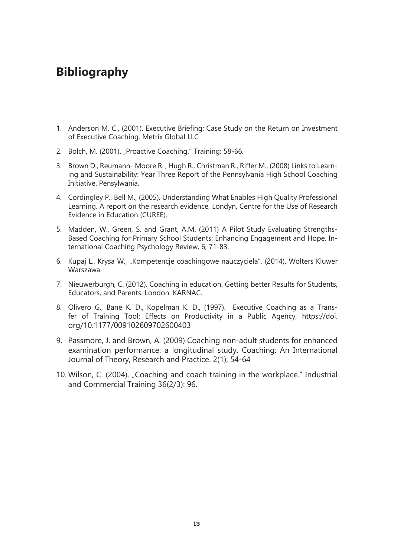# **Bibliography**

- 1. Anderson M. C., (2001). Executive Briefing: Case Study on the Return on Investment of Executive Coaching. Metrix Global LLC
- 2. Bolch, M. (2001). "Proactive Coaching." Training: 58-66.
- 3. Brown D., Reumann- Moore R. , Hugh R., Christman R., Riffer M., (2008) Links to Learning and Sustainability: Year Three Report of the Pennsylvania High School Coaching Initiative. Pensylwania.
- 4. Cordingley P., Bell M., (2005). Understanding What Enables High Quality Professional Learning. A report on the research evidence, Londyn, Centre for the Use of Research Evidence in Education (CUREE).
- 5. Madden, W., Green, S. and Grant, A.M. (2011) A Pilot Study Evaluating Strengths-Based Coaching for Primary School Students: Enhancing Engagement and Hope. International Coaching Psychology Review, 6, 71-83.
- 6. Kupaj L., Krysa W., "Kompetencje coachingowe nauczyciela", (2014). Wolters Kluwer Warszawa.
- 7. Nieuwerburgh, C. (2012). Coaching in education. Getting better Results for Students, Educators, and Parents. London: KARNAC.
- 8. Olivero G., Bane K. D., Kopelman K. D., (1997). Executive Coaching as a Transfer of Training Tool: Effects on Productivity in a Public Agency, https://doi. org/10.1177/009102609702600403
- 9. Passmore, J. and Brown, A. (2009) Coaching non-adult students for enhanced examination performance: a longitudinal study. Coaching: An International Journal of Theory, Research and Practice. 2(1), 54-64
- 10. Wilson, C. (2004). "Coaching and coach training in the workplace." Industrial and Commercial Training 36(2/3): 96.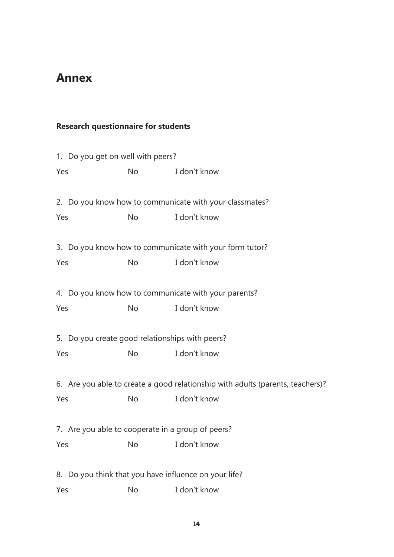# **Annex**

### **Research questionnaire for students**

|     | 1. Do you get on well with peers?                 |    |                                                                                |  |  |  |  |  |
|-----|---------------------------------------------------|----|--------------------------------------------------------------------------------|--|--|--|--|--|
| Yes |                                                   | No | I don't know                                                                   |  |  |  |  |  |
|     |                                                   |    |                                                                                |  |  |  |  |  |
|     |                                                   |    | 2. Do you know how to communicate with your classmates?                        |  |  |  |  |  |
| Yes |                                                   | No | I don't know                                                                   |  |  |  |  |  |
|     |                                                   |    | 3. Do you know how to communicate with your form tutor?                        |  |  |  |  |  |
| Yes |                                                   | No | I don't know                                                                   |  |  |  |  |  |
|     |                                                   |    | 4. Do you know how to communicate with your parents?                           |  |  |  |  |  |
| Yes |                                                   | No | I don't know                                                                   |  |  |  |  |  |
|     | 5. Do you create good relationships with peers?   |    |                                                                                |  |  |  |  |  |
| Yes |                                                   | No | I don't know                                                                   |  |  |  |  |  |
|     |                                                   |    | 6. Are you able to create a good relationship with adults (parents, teachers)? |  |  |  |  |  |
| Yes |                                                   | No | I don't know                                                                   |  |  |  |  |  |
|     | 7. Are you able to cooperate in a group of peers? |    |                                                                                |  |  |  |  |  |
|     | Yes No I don't know                               |    |                                                                                |  |  |  |  |  |
| 8.  |                                                   |    | Do you think that you have influence on your life?                             |  |  |  |  |  |
| Yes |                                                   | No | I don't know                                                                   |  |  |  |  |  |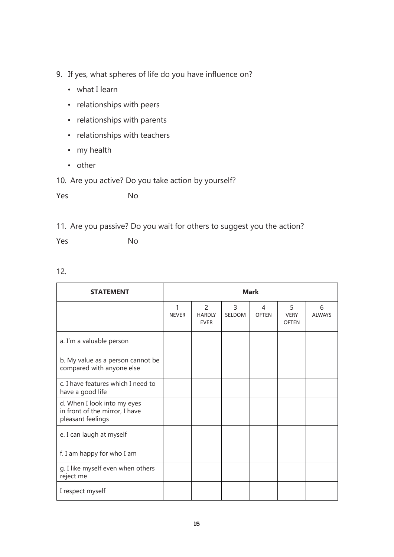- 9. If yes, what spheres of life do you have influence on?
	- what I learn
	- relationships with peers
	- relationships with parents
	- relationships with teachers
	- my health
	- other

10. Are you active? Do you take action by yourself?

Yes No

11. Are you passive? Do you wait for others to suggest you the action?

Yes No

|    | ٠<br>v<br>۰ |
|----|-------------|
| 10 | I<br>I      |
|    | ۰.          |

| <b>STATEMENT</b>                                                                   | <b>Mark</b>       |                                                |             |                   |                                  |                    |
|------------------------------------------------------------------------------------|-------------------|------------------------------------------------|-------------|-------------------|----------------------------------|--------------------|
|                                                                                    | 1<br><b>NEVER</b> | $\overline{2}$<br><b>HARDLY</b><br><b>EVER</b> | 3<br>SELDOM | 4<br><b>OFTEN</b> | 5<br><b>VERY</b><br><b>OFTEN</b> | 6<br><b>ALWAYS</b> |
| a. I'm a valuable person                                                           |                   |                                                |             |                   |                                  |                    |
| b. My value as a person cannot be<br>compared with anyone else                     |                   |                                                |             |                   |                                  |                    |
| c. I have features which I need to<br>have a good life                             |                   |                                                |             |                   |                                  |                    |
| d. When I look into my eyes<br>in front of the mirror, I have<br>pleasant feelings |                   |                                                |             |                   |                                  |                    |
| e. I can laugh at myself                                                           |                   |                                                |             |                   |                                  |                    |
| f. I am happy for who I am                                                         |                   |                                                |             |                   |                                  |                    |
| g. I like myself even when others<br>reject me                                     |                   |                                                |             |                   |                                  |                    |
| I respect myself                                                                   |                   |                                                |             |                   |                                  |                    |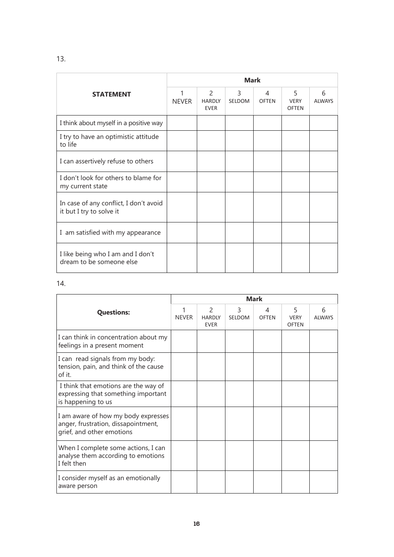|                                                                    | <b>Mark</b>       |                                               |             |                   |                                  |              |  |
|--------------------------------------------------------------------|-------------------|-----------------------------------------------|-------------|-------------------|----------------------------------|--------------|--|
| <b>STATEMENT</b>                                                   | 1<br><b>NEVER</b> | $\mathcal{P}$<br><b>HARDIY</b><br><b>EVER</b> | 3<br>SELDOM | 4<br><b>OFTEN</b> | 5<br><b>VFRY</b><br><b>OFTEN</b> | 6<br>AI WAYS |  |
| I think about myself in a positive way                             |                   |                                               |             |                   |                                  |              |  |
| I try to have an optimistic attitude<br>to life                    |                   |                                               |             |                   |                                  |              |  |
| I can assertively refuse to others                                 |                   |                                               |             |                   |                                  |              |  |
| I don't look for others to blame for<br>my current state           |                   |                                               |             |                   |                                  |              |  |
| In case of any conflict, I don't avoid<br>it but I try to solve it |                   |                                               |             |                   |                                  |              |  |
| I am satisfied with my appearance                                  |                   |                                               |             |                   |                                  |              |  |
| I like being who I am and I don't<br>dream to be someone else      |                   |                                               |             |                   |                                  |              |  |

#### 14.

|                                                                                                         | <b>Mark</b>       |                                               |                    |                   |                                  |                    |  |
|---------------------------------------------------------------------------------------------------------|-------------------|-----------------------------------------------|--------------------|-------------------|----------------------------------|--------------------|--|
| <b>Questions:</b>                                                                                       | 1<br><b>NEVER</b> | $\mathcal{P}$<br><b>HARDLY</b><br><b>EVER</b> | 3<br><b>SELDOM</b> | 4<br><b>OFTEN</b> | 5<br><b>VERY</b><br><b>OFTEN</b> | 6<br><b>ALWAYS</b> |  |
| I can think in concentration about my<br>feelings in a present moment                                   |                   |                                               |                    |                   |                                  |                    |  |
| I can read signals from my body:<br>tension, pain, and think of the cause<br>of it.                     |                   |                                               |                    |                   |                                  |                    |  |
| I think that emotions are the way of<br>expressing that something important<br>is happening to us       |                   |                                               |                    |                   |                                  |                    |  |
| I am aware of how my body expresses<br>anger, frustration, dissapointment,<br>grief, and other emotions |                   |                                               |                    |                   |                                  |                    |  |
| When I complete some actions, I can<br>analyse them according to emotions<br>I felt then                |                   |                                               |                    |                   |                                  |                    |  |
| I consider myself as an emotionally<br>aware person                                                     |                   |                                               |                    |                   |                                  |                    |  |